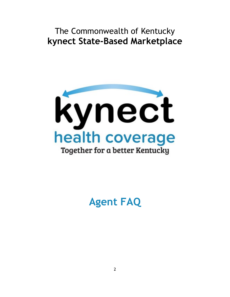The Commonwealth of Kentucky **kynect State-Based Marketplace**



**Agent FAQ**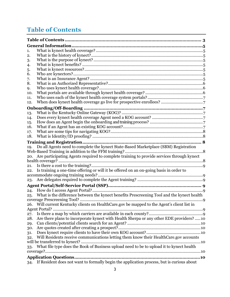# <span id="page-1-0"></span>**Table of Contents**

| 1.  |                                                                                               |  |  |  |  |  |
|-----|-----------------------------------------------------------------------------------------------|--|--|--|--|--|
| 2.  |                                                                                               |  |  |  |  |  |
| 3.  |                                                                                               |  |  |  |  |  |
| 4.  |                                                                                               |  |  |  |  |  |
| 5.  |                                                                                               |  |  |  |  |  |
| 6.  |                                                                                               |  |  |  |  |  |
| 7.  |                                                                                               |  |  |  |  |  |
| 8.  |                                                                                               |  |  |  |  |  |
| 9.  |                                                                                               |  |  |  |  |  |
| 10. |                                                                                               |  |  |  |  |  |
| 11. |                                                                                               |  |  |  |  |  |
| 12. |                                                                                               |  |  |  |  |  |
|     |                                                                                               |  |  |  |  |  |
| 13. |                                                                                               |  |  |  |  |  |
| 14. |                                                                                               |  |  |  |  |  |
| 15. |                                                                                               |  |  |  |  |  |
| 16. |                                                                                               |  |  |  |  |  |
| 17. |                                                                                               |  |  |  |  |  |
| 18. |                                                                                               |  |  |  |  |  |
|     | . 8                                                                                           |  |  |  |  |  |
| 19. | Do all Agents need to complete the kynect State-Based Marketplace (SBM) Registration          |  |  |  |  |  |
|     | 8                                                                                             |  |  |  |  |  |
| 20. | Are participating Agents required to complete training to provide services through kynect     |  |  |  |  |  |
|     |                                                                                               |  |  |  |  |  |
| 21. |                                                                                               |  |  |  |  |  |
| 22. | Is training a one-time offering or will it be offered on an on-going basis in order to        |  |  |  |  |  |
|     |                                                                                               |  |  |  |  |  |
| 23. |                                                                                               |  |  |  |  |  |
|     |                                                                                               |  |  |  |  |  |
| 24. |                                                                                               |  |  |  |  |  |
| 25. | What is the difference between the kynect benefits Prescreening Tool and the kynect health    |  |  |  |  |  |
|     |                                                                                               |  |  |  |  |  |
| 26. | Will current Kentucky clients on HealthCare.gov be mapped to the Agent's client list in       |  |  |  |  |  |
|     |                                                                                               |  |  |  |  |  |
| 27. |                                                                                               |  |  |  |  |  |
| 28. | Are there plans to incorporate kynect with Health Sherpa or any other EDE providers? 10       |  |  |  |  |  |
| 29. |                                                                                               |  |  |  |  |  |
| 30. |                                                                                               |  |  |  |  |  |
| 31. |                                                                                               |  |  |  |  |  |
| 32. | Will Residents receive communications letting them know their HealthCare.gov accounts         |  |  |  |  |  |
|     |                                                                                               |  |  |  |  |  |
| 33. | What file type does the Book of Business upload need to be to upload it to kynect health      |  |  |  |  |  |
|     |                                                                                               |  |  |  |  |  |
|     |                                                                                               |  |  |  |  |  |
|     |                                                                                               |  |  |  |  |  |
|     | 34. If Resident does not want to formally begin the application process, but is curious about |  |  |  |  |  |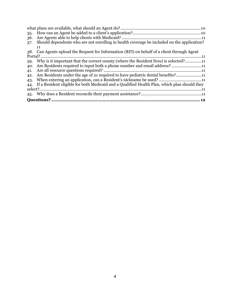| 35. |                                                                                              |  |  |  |  |
|-----|----------------------------------------------------------------------------------------------|--|--|--|--|
| 36. |                                                                                              |  |  |  |  |
| 37. | Should dependents who are not enrolling in health coverage be included on the application?   |  |  |  |  |
|     | 11                                                                                           |  |  |  |  |
|     | 38. Can Agents upload the Request for Information (RFI) on behalf of a client through Agent  |  |  |  |  |
|     |                                                                                              |  |  |  |  |
| 39. | Why is it important that the correct county (where the Resident lives) is selected?11        |  |  |  |  |
| 40. | Are Residents required to input both a phone number and email address?11                     |  |  |  |  |
| 41. |                                                                                              |  |  |  |  |
| 42. | Are Residents under the age of 21 required to have pediatric dental benefits?11              |  |  |  |  |
| 43. | When entering an application, can a Resident's nickname be used? 11                          |  |  |  |  |
| 44. | If a Resident eligible for both Medicaid and a Qualified Health Plan, which plan should they |  |  |  |  |
|     |                                                                                              |  |  |  |  |
|     |                                                                                              |  |  |  |  |
|     |                                                                                              |  |  |  |  |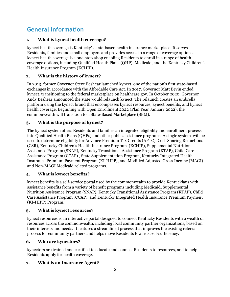# <span id="page-3-0"></span>**General Information**

#### <span id="page-3-1"></span>**1. What is kynect health coverage?**

kynect health coverage is Kentucky's state-based health insurance marketplace. It serves Residents, families and small employers and provides access to a range of coverage options. kynect health coverage is a one-stop-shop enabling Residents to enroll in a range of health coverage options, including Qualified Health Plans (QHP), Medicaid, and the Kentucky Children's Health Insurance Program (KCHIP).

## <span id="page-3-2"></span>**2. What is the history of kynect?**

In 2013, former Governor Steve Beshear launched kynect, one of the nation's first state-based exchanges in accordance with the Affordable Care Act. In 2017, Governor Matt Bevin ended kynect, transitioning to the federal marketplace on healthcare.gov. In October 2020, Governor Andy Beshear announced the state would relaunch kynect. The relaunch creates an umbrella platform using the kynect brand that encompasses kynect resources, kynect benefits, and kynect health coverage. Beginning with Open Enrollment 2022 (Plan Year January 2022), the commonwealth will transition to a State-Based Marketplace (SBM).

## <span id="page-3-3"></span>**3. What is the purpose of kynect?**

The kynect system offers Residents and families an integrated eligibility and enrollment process into Qualified Health Plans (QHPs) and other public assistance programs. A single system will be used to determine eligibility for Advance Premium Tax Credits (APTC), Cost-Sharing Reductions (CSR), Kentucky Children's Health Insurance Program (KCHIP), Supplemental Nutrition Assistance Program (SNAP), Kentucky Transitional Assistance Program (KTAP), Child Care Assistance Program (CCAP) , State Supplementation Program, Kentucky Integrated Health Insurance Premium Payment Program (KI-HIPP), and Modified Adjusted Gross Income (MAGI) and Non-MAGI Medicaid related programs.

#### <span id="page-3-4"></span>**4. What is kynect benefits?**

kynect benefits is a self-service portal used by the commonwealth to provide Kentuckians with assistance benefits from a variety of benefit programs including Medicaid, Supplemental Nutrition Assistance Program (SNAP), Kentucky Transitional Assistance Program (KTAP), Child Care Assistance Program (CCAP), and Kentucky Integrated Health Insurance Premium Payment (KI-HIPP) Program.

#### <span id="page-3-5"></span>**5. What is kynect resources?**

kynect resources is an interactive portal designed to connect Kentucky Residents with a wealth of resources across the commonwealth, including local community partner organizations, based on their interests and needs. It features a streamlined process that improves the existing referral process for community partners and helps move Residents towards self-sufficiency.

#### <span id="page-3-6"></span>**6. Who are kynectors?**

kynectors are trained and certified to educate and connect Residents to resources, and to help Residents apply for health coverage.

#### <span id="page-3-7"></span>**7. What is an Insurance Agent?**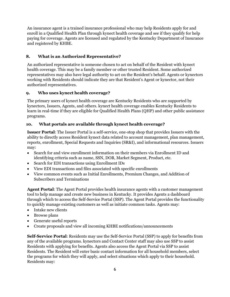An insurance agent is a trained insurance professional who may help Residents apply for and enroll in a Qualified Health Plan through kynect health coverage and see if they qualify for help paying for coverage. Agents are licensed and regulated by the Kentucky Department of Insurance and registered by KHBE.

#### <span id="page-4-0"></span>**8. What is an Authorized Representative?**

An authorized representative is someone chosen to act on behalf of the Resident with kynect health coverage. This may be a family member or other trusted Resident. Some authorized representatives may also have legal authority to act on the Resident's behalf. Agents or kynectors working with Residents should indicate they are that Resident's Agent or kynector, not their authorized representatives.

#### <span id="page-4-1"></span>**9. Who uses kynect health coverage?**

The primary users of kynect health coverage are Kentucky Residents who are supported by kynectors, Issuers, Agents, and others. kynect health coverage enables Kentucky Residents to learn in real-time if they are eligible for Qualified Health Plans (QHP) and other public assistance programs.

#### <span id="page-4-2"></span>**10. What portals are available through kynect health coverage?**

**Issuer Portal**: The Issuer Portal is a self-service, one-stop shop that provides Issuers with the ability to directly access Resident kynect data related to account management, plan management, reports, enrollment, Special Requests and Inquiries (SR&I), and informational resources. Issuers may:

- Search for and view enrollment information on their members via Enrollment ID and identifying criteria such as name, SSN, DOB, Market Segment, Product, etc.
- Search for EDI transactions using Enrollment IDs
- View EDI transactions and files associated with specific enrollments
- View common events such as Initial Enrollments, Premium Changes, and Addition of Subscribers and Terminations

**Agent Portal**: The Agent Portal provides health insurance agents with a customer management tool to help manage and create new business in Kentucky. It provides Agents a dashboard through which to access the Self-Service Portal (SSP). The Agent Portal provides the functionality to quickly manage existing customers as well as initiate common tasks. Agents may:

- Intake new clients
- Browse plans
- Generate useful reports
- Create proposals and view all incoming KHBE notifications/announcements

**Self-Service Portal**: Residents may use the Self-Service Portal (SSP) to apply for benefits from any of the available programs. kynectors and Contact Center staff may also use SSP to assist Residents with applying for benefits. Agents also access the Agent Portal via SSP to assist Residents. The Resident will enter basic contact information for all household members, select the programs for which they will apply, and select situations which apply to their household. Residents may: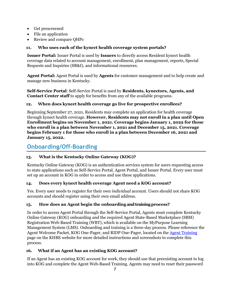- Get prescreened
- File an application
- Review and compare QHPs

## <span id="page-5-0"></span>**11. Who uses each of the kynect health coverage system portals?**

**Issuer Portal:** Issuer Portal is used by **Issuers** to directly access Resident kynect health coverage data related to account management, enrollment, plan management, reports, Special Requests and Inquiries (SR&I), and informational resources.

**Agent Portal:** Agent Portal is used by **Agents** for customer management and to help create and manage new business in Kentucky.

**Self-Service Portal**: Self-Service Portal is used by **Residents, kynectors, Agents, and Contact Center staff** to apply for benefits from any of the available programs.

#### <span id="page-5-1"></span>**12. When does kynect health coverage go live for prospective enrollees?**

Beginning September 27, 2021, Residents may complete an application for health coverage through kynect health coverage. **However, Residents may not enroll in a plan until Open Enrollment begins on November 1, 2021. Coverage begins January 1, 2022 for those who enroll in a plan between November 1, 2021 and December 15, 2021. Coverage begins February 1 for those who enroll in a plan between December 16, 2021 and January 15, 2022.** 

## <span id="page-5-2"></span>**Onboarding/Off-Boarding**

## <span id="page-5-3"></span>**13. What is the Kentucky Online Gateway (KOG)?**

Kentucky Online Gateway (KOG) is an authentication services system for users requesting access to state applications such as Self-Service Portal, Agent Portal, and Issuer Portal. Every user must set up an account in KOG in order to access and use these applications.

#### <span id="page-5-4"></span>**14. Does every kynect health coverage Agent need a KOG account?**

Yes. Every user needs to register for their own *individual* account. Users should not share KOG accounts and should register using their own email address.

#### <span id="page-5-5"></span>**15. How does an Agent begin the onboarding and training process?**

In order to access Agent Portal through the Self-Service Portal, Agents must complete Kentucky Online Gateway (KOG) onboarding and the required Agent State-Based Marketplace (SBM) Registration Web-Based Training (WBT), which is available on the MyPurpose Learning Management System (LMS). Onboarding and training is a three-day process. Please reference the Agent Welcome Packet, KOG One-Pager, and RIDP One-Pager, located on the [Agent Training](https://khbe.ky.gov/Agents-kynectors/Pages/Agent-Training-Materials.aspx) page on the KHBE website for more detailed instructions and screenshots to complete this process.

## <span id="page-5-6"></span>**16. What if an Agent has an existing KOG account?**

If an Agent has an existing KOG account for work, they should use that preexisting account to log into KOG and complete the Agent Web-Based Training. Agents may need to reset their password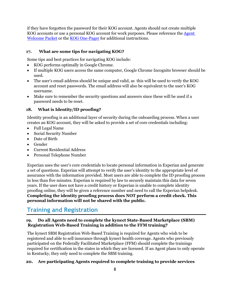if they have forgotten the password for their KOG account. Agents should not create multiple KOG accounts or use a personal KOG account for work purposes. Please reference the [Agent](https://khbe.ky.gov/Agents-kynectors/Documents/AgentWelcomeLetterPY22.pdf)  [Welcome Packet](https://khbe.ky.gov/Agents-kynectors/Documents/AgentWelcomeLetterPY22.pdf) or the [KOG One-Pager](https://khbe.ky.gov/Agents-kynectors/Documents/KOGOnePagerAgents.pdf) for additional instructions.

#### <span id="page-6-0"></span>**17. What are some tips for navigating KOG?**

Some tips and best practices for navigating KOG include:

- KOG performs optimally in Google Chrome.
- If multiple KOG users access the same computer, Google Chrome Incognito browser should be used.
- The user's email address should be unique and valid, as this will be used to verify the KOG account and reset passwords. The email address will also be equivalent to the user's KOG username.
- Make sure to remember the security questions and answers since these will be used if a password needs to be reset.

#### <span id="page-6-1"></span>**18. What is Identity/ID proofing?**

Identity proofing is an additional layer of security during the onboarding process. When a user creates an KOG account, they will be asked to provide a set of core credentials including:

- Full Legal Name
- Social Security Number
- Date of Birth
- Gender
- Current Residential Address
- Personal Telephone Number

Experian uses the user's core credentials to locate personal information in Experian and generate a set of questions. Experian will attempt to verify the user's identity to the appropriate level of assurance with the information provided. Most users are able to complete the ID proofing process in less than five minutes. Experian is required by law to securely maintain this data for seven years. If the user does not have a credit history or Experian is unable to complete identity proofing online, they will be given a reference number and need to call the Experian helpdesk. **Completing the identity proofing process does NOT perform a credit check. This personal information will not be shared with the public.** 

## <span id="page-6-2"></span>**Training and Registration**

#### <span id="page-6-3"></span>**19. Do all Agents need to complete the kynect State-Based Marketplace (SBM) Registration Web-Based Training in addition to the FFM training?**

The kynect SBM Registration Web-Based Training is required for Agents who wish to be registered and able to sell insurance through kynect health coverage. Agents who previously participated on the Federally Facilitated Marketplace (FFM) should complete the trainings required for certification in the states in which they are licensed. If an Agent plans to only operate in Kentucky, they only need to complete the SBM training.

#### <span id="page-6-4"></span>**20. Are participating Agents required to complete training to provide services**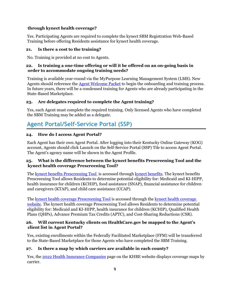#### **through kynect health coverage?**

Yes. Participating Agents are required to complete the kynect SBM Registration Web-Based Training before offering Residents assistance for kynect health coverage.

#### <span id="page-7-0"></span>**21. Is there a cost to the training?**

No. Training is provided at no cost to Agents.

#### <span id="page-7-1"></span>**22. Is training a one-time offering or will it be offered on an on-going basis in order to accommodate ongoing training needs?**

Training is available year-round via the MyPurpose Learning Management System (LMS). New Agents should reference the [Agent Welcome Packet](https://khbe.ky.gov/Agents-kynectors/Documents/AgentWelcomeLetterPY22.pdf) to begin the onboarding and training process. In future years, there will be a condensed training for Agents who are already participating in the State-Based Marketplace.

#### <span id="page-7-2"></span>**23. Are delegates required to complete the Agent training?**

Yes, each Agent must complete the required training. Only licensed Agents who have completed the SBM Training may be added as a delegate.

# <span id="page-7-3"></span>**Agent Portal/Self-Service Portal (SSP)**

#### <span id="page-7-4"></span>**24. How do I access Agent Portal?**

Each Agent has their own Agent Portal. After logging into their Kentucky Online Gateway (KOG) account, Agents should click Launch on the Self-Service Portal (SSP) Tile to access Agent Portal. The Agent's agency name will be shown in the Agent Profile.

#### <span id="page-7-5"></span>**25. What is the difference between the kynect benefits Prescreening Tool and the kynect health coverage Prescreening Tool?**

The [kynect benefits Prescreening Tool](https://kynect.ky.gov/benefits/s/prescreening?retPage=Home&language=en_US) is accessed through [kynect benefits.](https://kynect.ky.gov/benefits/s/?language=en_US) The kynect benefits Prescreening Tool allows Residents to determine potential eligibility for: Medicaid and KI-HIPP, health insurance for children (KCHIP), food assistance (SNAP), financial assistance for children and caregivers (KTAP), and child care assistance (CCAP).

The [kynect health coverage Prescreening Tool](https://kynect.ky.gov/healthcoverage/s/pre-screening?retPage=Home&language=en_US) is accessed through the [kynect health coverage](https://kynect.ky.gov/healthcoverage/s/?language=en_US)  [website.](https://kynect.ky.gov/healthcoverage/s/?language=en_US) The kynect health coverage Prescreening Tool allows Residents to determine potential eligibility for: Medicaid and KI-HIPP, health insurance for children (KCHIP), Qualified Health Plans (QHPs), Advance Premium Tax Credits (APTC), and Cost-Sharing Reductions (CSR).

#### <span id="page-7-6"></span>**26. Will current Kentucky clients on HealthCare.gov be mapped to the Agent's client list in Agent Portal?**

Yes, existing enrollments within the Federally Facilitated Marketplace (FFM) will be transferred to the State-Based Marketplace for those Agents who have completed the SBM Training.

#### <span id="page-7-7"></span>**27. Is there a map by which carriers are available in each county?**

Yes, the [2022 Health Insurance Companies](https://khbe.ky.gov/Plans/Pages/2022-Health-Insurance-Companies.aspx) page on the KHBE website displays coverage maps by carrier.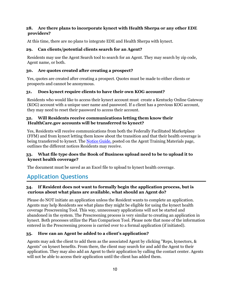#### <span id="page-8-0"></span>**28. Are there plans to incorporate kynect with Health Sherpa or any other EDE providers?**

At this time, there are no plans to integrate EDE and Health Sherpa with kynect.

#### <span id="page-8-1"></span>**29. Can clients/potential clients search for an Agent?**

Residents may use the Agent Search tool to search for an Agent. They may search by zip code, Agent name, or both.

#### <span id="page-8-2"></span>**30. Are quotes created after creating a prospect?**

Yes, quotes are created after creating a prospect. Quotes must be made to either clients or prospects and cannot be anonymous.

#### <span id="page-8-3"></span>**31. Does kynect require clients to have their own KOG account?**

Residents who would like to access their kynect account must create a Kentucky Online Gateway (KOG) account with a unique user name and password. If a client has a previous KOG account, they may need to reset their password to access their account.

#### <span id="page-8-4"></span>**32. Will Residents receive communications letting them know their HealthCare.gov accounts will be transferred to kynect?**

Yes, Residents will receive communications from both the Federally Facilitated Marketplace (FFM) and from kynect letting them know about the transition and that their health coverage is being transferred to kynect. The [Notice Guide,](https://khbe.ky.gov/Agents-kynectors/Documents/Updated-Notice-Guides.pdf) posted on the Agent Training Materials page, outlines the different notices Residents may receive.

#### <span id="page-8-5"></span>**33. What file type does the Book of Business upload need to be to upload it to kynect health coverage?**

The document must be saved as an Excel file to upload to kynect health coverage.

# <span id="page-8-6"></span>**Application Questions**

## <span id="page-8-7"></span>**34. If Resident does not want to formally begin the application process, but is curious about what plans are available, what should an Agent do?**

Please do NOT initiate an application unless the Resident wants to complete an application. Agents may help Residents see what plans they might be eligible for using the kynect health coverage Prescreening Tool. This way, unnecessary applications will not be started and abandoned in the system. The Prescreening process is very similar to creating an application in kynect. Both processes utilize the Plan Comparison Tool. Please note that none of the information entered in the Prescreening process is carried over to a formal application (if initiated).

#### <span id="page-8-8"></span>**35. How can an Agent be added to a client's application?**

Agents may ask the client to add them as the associated Agent by clicking "Reps, kynectors, & Agents" on kynect benefits. From there, the client may search for and add the Agent to their application. They may also add an Agent to their application by calling the contact center. Agents will not be able to access their application until the client has added them.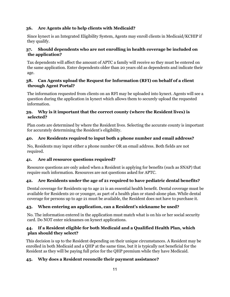#### <span id="page-9-0"></span>**36. Are Agents able to help clients with Medicaid?**

Since kynect is an Integrated Eligibility System, Agents may enroll clients in Medicaid/KCHIP if they qualify.

#### <span id="page-9-1"></span>**37. Should dependents who are not enrolling in health coverage be included on the application?**

Tax dependents will affect the amount of APTC a family will receive so they must be entered on the same application. Enter dependents older than 20 years old as dependents and indicate their age.

#### <span id="page-9-2"></span>**38. Can Agents upload the Request for Information (RFI) on behalf of a client through Agent Portal?**

The information requested from clients on an RFI may be uploaded into kynect. Agents will see a question during the application in kynect which allows them to securely upload the requested information.

#### <span id="page-9-3"></span>**39. Why is it important that the correct county (where the Resident lives) is selected?**

Plan costs are determined by where the Resident lives. Selecting the accurate county is important for accurately determining the Resident's eligibility.

## <span id="page-9-4"></span>**40. Are Residents required to input both a phone number and email address?**

No, Residents may input either a phone number OR an email address. Both fields are not required.

#### <span id="page-9-5"></span>**41. Are all resource questions required?**

Resource questions are only asked when a Resident is applying for benefits (such as SNAP) that require such information. Resources are not questions asked for APTC.

## <span id="page-9-6"></span>**42. Are Residents under the age of 21 required to have pediatric dental benefits?**

Dental coverage for Residents up to age 21 is an essential health benefit. Dental coverage must be available for Residents 20 or younger, as part of a health plan or stand-alone plan. While dental coverage for persons up to age 21 must be available, the Resident does not have to purchase it.

## <span id="page-9-7"></span>**43. When entering an application, can a Resident's nickname be used?**

No. The information entered in the application must match what is on his or her social security card. Do NOT enter nicknames on kynect applications.

#### <span id="page-9-8"></span>**44. If a Resident eligible for both Medicaid and a Qualified Health Plan, which plan should they select?**

This decision is up to the Resident depending on their unique circumstances. A Resident may be enrolled in both Medicaid and a QHP at the same time, but it is typically not beneficial for the Resident as they will be paying full price for the QHP premium while they have Medicaid.

#### <span id="page-9-9"></span>**45. Why does a Resident reconcile their payment assistance?**